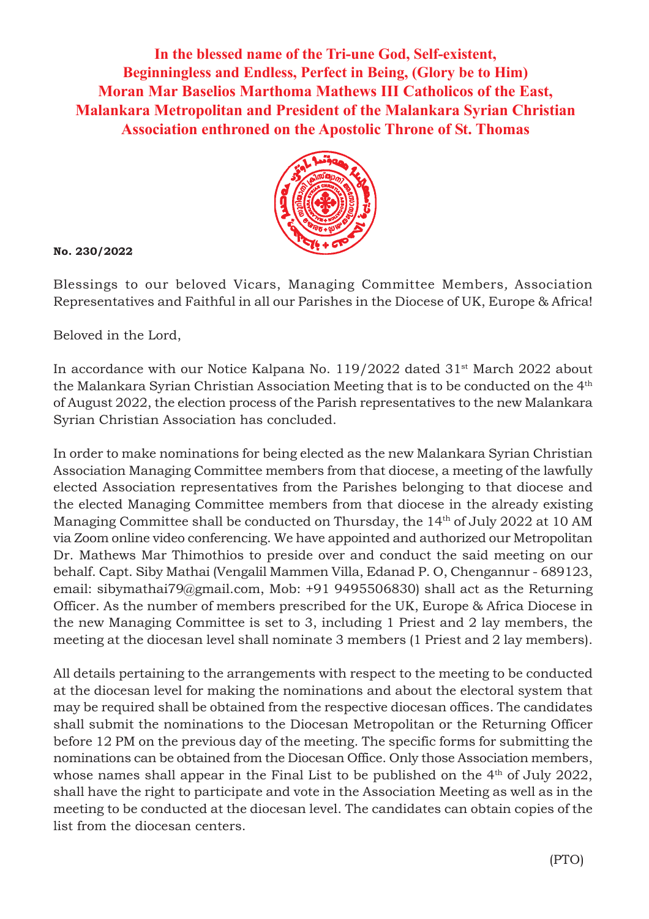**In the blessed name of the Tri-une God, Self-existent, Beginningless and Endless, Perfect in Being, (Glory be to Him) Moran Mar Baselios Marthoma Mathews III Catholicos of the East, Malankara Metropolitan and President of the Malankara Syrian Christian Association enthroned on the Apostolic Throne of St. Thomas**



**No. 230/2022**

Blessings to our beloved Vicars, Managing Committee Members*,* Association Representatives and Faithful in all our Parishes in the Diocese of UK, Europe & Africa!

Beloved in the Lord,

In accordance with our Notice Kalpana No. 119/2022 dated 31<sup>st</sup> March 2022 about the Malankara Syrian Christian Association Meeting that is to be conducted on the 4th of August 2022, the election process of the Parish representatives to the new Malankara Syrian Christian Association has concluded.

In order to make nominations for being elected as the new Malankara Syrian Christian Association Managing Committee members from that diocese, a meeting of the lawfully elected Association representatives from the Parishes belonging to that diocese and the elected Managing Committee members from that diocese in the already existing Managing Committee shall be conducted on Thursday, the 14<sup>th</sup> of July 2022 at 10 AM via Zoom online video conferencing. We have appointed and authorized our Metropolitan Dr. Mathews Mar Thimothios to preside over and conduct the said meeting on our behalf. Capt. Siby Mathai (Vengalil Mammen Villa, Edanad P. O, Chengannur - 689123, email: sibymathai79@gmail.com, Mob: +91 9495506830) shall act as the Returning Officer. As the number of members prescribed for the UK, Europe & Africa Diocese in the new Managing Committee is set to 3, including 1 Priest and 2 lay members, the meeting at the diocesan level shall nominate 3 members (1 Priest and 2 lay members).

All details pertaining to the arrangements with respect to the meeting to be conducted at the diocesan level for making the nominations and about the electoral system that may be required shall be obtained from the respective diocesan offices. The candidates shall submit the nominations to the Diocesan Metropolitan or the Returning Officer before 12 PM on the previous day of the meeting. The specific forms for submitting the nominations can be obtained from the Diocesan Office. Only those Association members, whose names shall appear in the Final List to be published on the  $4<sup>th</sup>$  of July 2022, shall have the right to participate and vote in the Association Meeting as well as in the meeting to be conducted at the diocesan level. The candidates can obtain copies of the list from the diocesan centers.